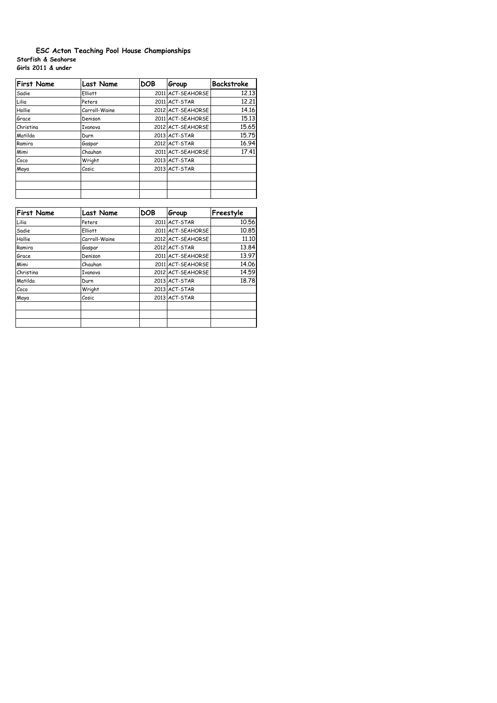## **Starfish & Seahorse Girls 2011 & under ESC Acton Teaching Pool House Championships**

| <b>First Name</b> | <b>Last Name</b> | <b>DOB</b> | Group             | <b>Backstroke</b> |
|-------------------|------------------|------------|-------------------|-------------------|
| Sadie             | <b>Elliott</b>   |            | 2011 ACT-SEAHORSE | 12.13             |
| Lilia             | Peters           |            | 2011 ACT-STAR     | 12,21             |
| Hollie            | Carroll-Waine    |            | 2012 ACT-SEAHORSE | 14.16             |
| Grace             | Denison          |            | 2011 ACT-SEAHORSE | 15.13             |
| Christina         | Ivanova          |            | 2012 ACT-SEAHORSE | 15.65             |
| Matilda           | Durn             |            | 2013 ACT-STAR     | 15.75             |
| Ramira            | Gaspar           |            | 2012 ACT-STAR     | 16.94             |
| Mimi              | Chauhan          |            | 2011 ACT-SEAHORSE | 17.41             |
| Coco              | Wright           |            | 2013 ACT-STAR     |                   |
| Maya              | Cosic            |            | 2013 ACT-STAR     |                   |
|                   |                  |            |                   |                   |
|                   |                  |            |                   |                   |
|                   |                  |            |                   |                   |

| <b>First Name</b> | <b>Last Name</b> | <b>DOB</b> | Group             | Freestyle |
|-------------------|------------------|------------|-------------------|-----------|
| Lilia             | Peters           |            | 2011 ACT-STAR     | 10.56     |
| Sadie             | <b>Elliott</b>   |            | 2011 ACT-SEAHORSE | 10.85     |
| Hollie            | Carroll-Waine    |            | 2012 ACT-SEAHORSE | 11,10     |
| Ramira            | Gaspar           |            | 2012 ACT-STAR     | 13.84     |
| Grace             | Denison          |            | 2011 ACT-SEAHORSE | 13.97     |
| Mimi              | Chauhan          |            | 2011 ACT-SEAHORSE | 14.06     |
| Christina         | Ivanova          |            | 2012 ACT-SEAHORSE | 14.59     |
| Matilda           | Durn             |            | 2013 ACT-STAR     | 18,78     |
| Coco              | Wright           |            | 2013 ACT-STAR     |           |
| Maya              | Cosic            |            | 2013 ACT-STAR     |           |
|                   |                  |            |                   |           |
|                   |                  |            |                   |           |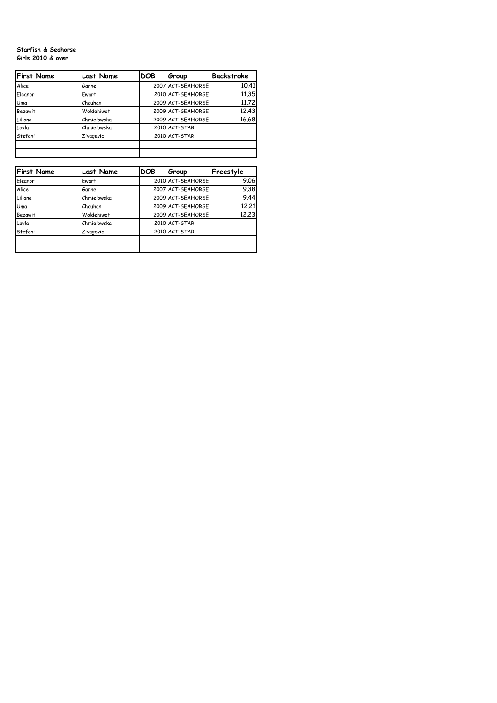## **Starfish & Seahorse Girls 2010 & over**

| <b>First Name</b> | <b>Last Name</b> | <b>DOB</b> | Group             | Backstroke |
|-------------------|------------------|------------|-------------------|------------|
| Alice             | Ganne            |            | 2007 ACT-SEAHORSE | 10.41      |
| Eleanor           | Ewart            |            | 2010 ACT-SEAHORSE | 11.35      |
| Uma               | Chauhan          |            | 2009 ACT-SEAHORSE | 11.72      |
| <b>Bezawit</b>    | Woldehiwot       |            | 2009 ACT-SEAHORSE | 12,43      |
| Liliana           | Chmielowska      |            | 2009 ACT-SEAHORSE | 16.68      |
| Layla             | Chmielowska      |            | 2010 ACT-STAR     |            |
| Stefani           | Zivagevic        |            | 2010 ACT-STAR     |            |
|                   |                  |            |                   |            |
|                   |                  |            |                   |            |

| <b>First Name</b> | <b>Last Name</b> | <b>DOB</b> | Group             | Freestyle |
|-------------------|------------------|------------|-------------------|-----------|
| Eleanor           | Ewart            |            | 2010 ACT-SEAHORSE | 9.06      |
| Alice             | Ganne            |            | 2007 ACT-SEAHORSE | 9.38      |
| Liliana           | Chmielowska      |            | 2009 ACT-SEAHORSE | 9.44      |
| Uma               | Chauhan          |            | 2009 ACT-SEAHORSE | 12,21     |
| <b>Bezawit</b>    | Woldehiwot       |            | 2009 ACT-SEAHORSE | 12,23     |
| Layla             | Chmielowska      |            | 2010 ACT-STAR     |           |
| Stefani           | Zivagevic        |            | 2010 ACT-STAR     |           |
|                   |                  |            |                   |           |
|                   |                  |            |                   |           |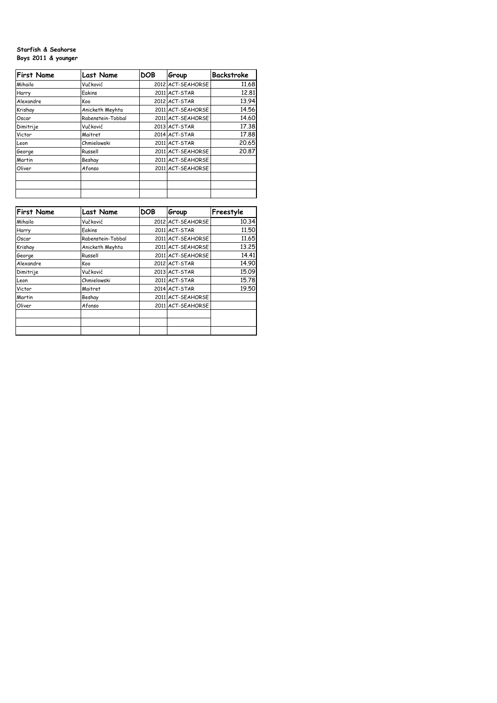## **Starfish & Seahorse Boys 2011 & younger**

| <b>First Name</b> | <b>Last Name</b>  | <b>DOB</b> | Group             | Backstroke |
|-------------------|-------------------|------------|-------------------|------------|
| Mihailo           | Vučković          |            | 2012 ACT-SEAHORSE | 11.68      |
| Harry             | Eakins            |            | 2011 ACT-STAR     | 12,81      |
| Alexandre         | Koo               |            | 2012 ACT-STAR     | 13.94      |
| Krishay           | Anicketh Meyhta   |            | 2011 ACT-SEAHORSE | 14.56      |
| Oscar             | Rabenstein-Tobbal |            | 2011 ACT-SEAHORSE | 14.60      |
| Dimitrije         | Vučković          |            | 2013 ACT-STAR     | 17.38      |
| Victor            | Maitret           |            | 2014 ACT-STAR     | 17.88      |
| Leon              | Chmielowski       |            | 2011 ACT-STAR     | 20.65      |
| George            | Russell           |            | 2011 ACT-SEAHORSE | 20.87      |
| Martin            | Beshay            |            | 2011 ACT-SEAHORSE |            |
| Oliver            | Afonso            |            | 2011 ACT-SEAHORSE |            |
|                   |                   |            |                   |            |
|                   |                   |            |                   |            |
|                   |                   |            |                   |            |

| <b>First Name</b> | <b>Last Name</b>  | <b>DOB</b> | Group             | Freestyle |
|-------------------|-------------------|------------|-------------------|-----------|
| Mihailo           | Vučković          |            | 2012 ACT-SEAHORSE | 10.34     |
| Harry             | Eakins            |            | 2011 ACT-STAR     | 11,50     |
| Oscar             | Rabenstein-Tobbal |            | 2011 ACT-SEAHORSE | 11.65     |
| Krishay           | Anicketh Meyhta   |            | 2011 ACT-SEAHORSE | 13.25     |
| George            | Russell           |            | 2011 ACT-SEAHORSE | 14.41     |
| Alexandre         | Koo               |            | 2012 ACT-STAR     | 14.90     |
| Dimitrije         | Vučković          |            | 2013 ACT-STAR     | 15.09     |
| Leon              | Chmielowski       |            | 2011 ACT-STAR     | 15.78     |
| Victor            | Maitret           |            | 2014 ACT-STAR     | 19.50     |
| Martin            | Beshay            |            | 2011 ACT-SEAHORSE |           |
| Oliver            | Afonso            |            | 2011 ACT-SEAHORSE |           |
|                   |                   |            |                   |           |
|                   |                   |            |                   |           |
|                   |                   |            |                   |           |